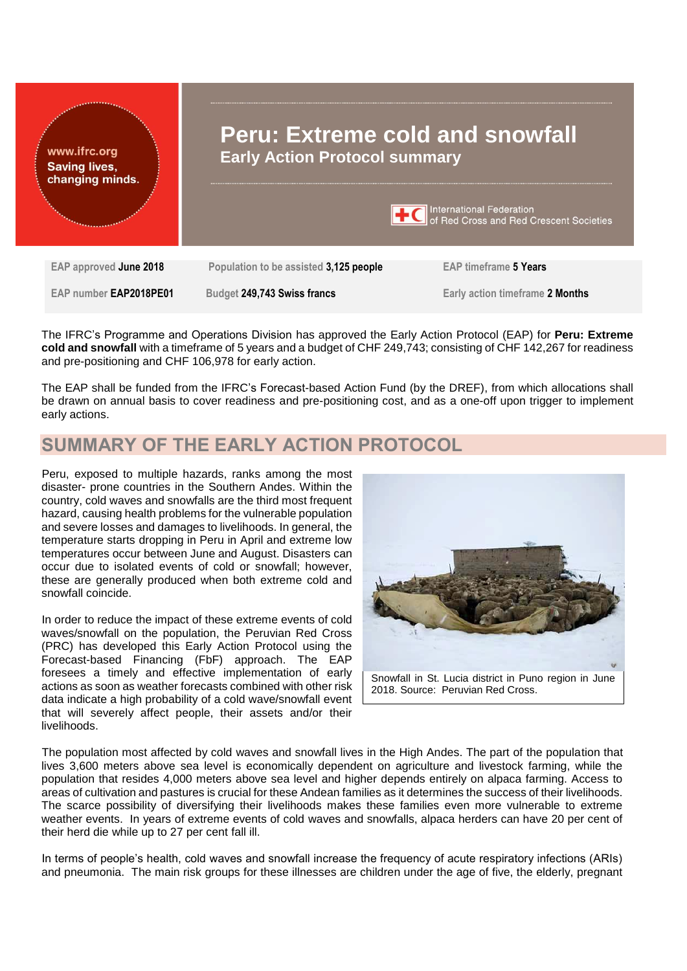

The IFRC's Programme and Operations Division has approved the Early Action Protocol (EAP) for **Peru: Extreme cold and snowfall** with a timeframe of 5 years and a budget of CHF 249,743; consisting of CHF 142,267 for readiness and pre-positioning and CHF 106,978 for early action.

The EAP shall be funded from the IFRC's Forecast-based Action Fund (by the DREF), from which allocations shall be drawn on annual basis to cover readiness and pre-positioning cost, and as a one-off upon trigger to implement early actions.

# **SUMMARY OF THE EARLY ACTION PROTOCOL**

Peru, exposed to multiple hazards, ranks among the most disaster- prone countries in the Southern Andes. Within the country, cold waves and snowfalls are the third most frequent hazard, causing health problems for the vulnerable population and severe losses and damages to livelihoods. In general, the temperature starts dropping in Peru in April and extreme low temperatures occur between June and August. Disasters can occur due to isolated events of cold or snowfall; however, these are generally produced when both extreme cold and snowfall coincide.

In order to reduce the impact of these extreme events of cold waves/snowfall on the population, the Peruvian Red Cross (PRC) has developed this Early Action Protocol using the Forecast-based Financing (FbF) approach. The EAP foresees a timely and effective implementation of early actions as soon as weather forecasts combined with other risk data indicate a high probability of a cold wave/snowfall event that will severely affect people, their assets and/or their livelihoods.



The population most affected by cold waves and snowfall lives in the High Andes. The part of the population that lives 3,600 meters above sea level is economically dependent on agriculture and livestock farming, while the population that resides 4,000 meters above sea level and higher depends entirely on alpaca farming. Access to areas of cultivation and pastures is crucial for these Andean families as it determines the success of their livelihoods. The scarce possibility of diversifying their livelihoods makes these families even more vulnerable to extreme weather events. In years of extreme events of cold waves and snowfalls, alpaca herders can have 20 per cent of their herd die while up to 27 per cent fall ill.

In terms of people's health, cold waves and snowfall increase the frequency of acute respiratory infections (ARIs) and pneumonia. The main risk groups for these illnesses are children under the age of five, the elderly, pregnant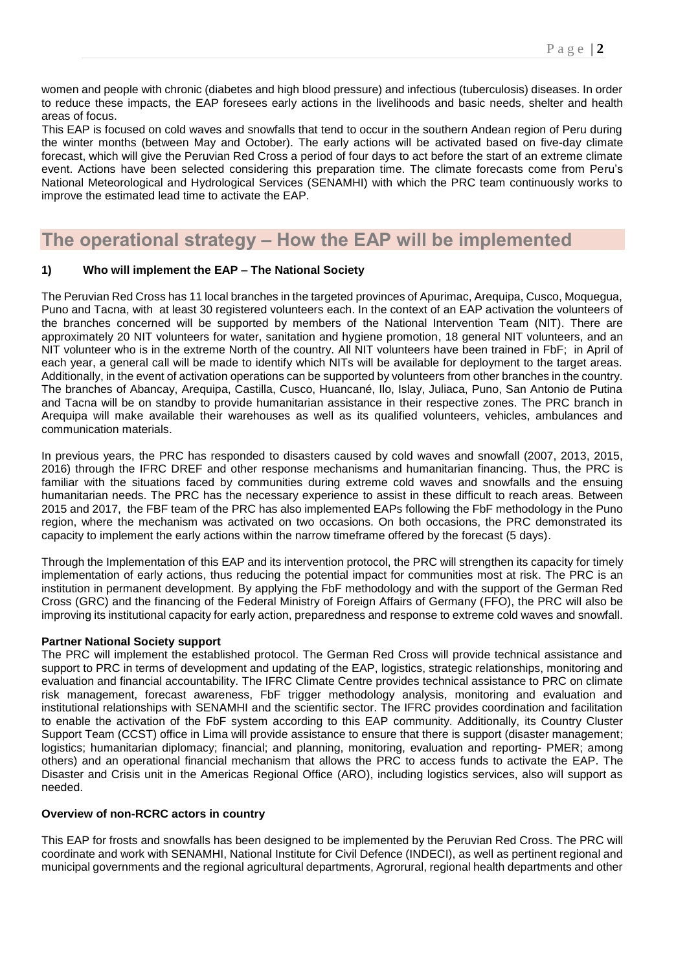women and people with chronic (diabetes and high blood pressure) and infectious (tuberculosis) diseases. In order to reduce these impacts, the EAP foresees early actions in the livelihoods and basic needs, shelter and health areas of focus.

This EAP is focused on cold waves and snowfalls that tend to occur in the southern Andean region of Peru during the winter months (between May and October). The early actions will be activated based on five-day climate forecast, which will give the Peruvian Red Cross a period of four days to act before the start of an extreme climate event. Actions have been selected considering this preparation time. The climate forecasts come from Peru's National Meteorological and Hydrological Services (SENAMHI) with which the PRC team continuously works to improve the estimated lead time to activate the EAP.

# **The operational strategy – How the EAP will be implemented**

## **1) Who will implement the EAP – The National Society**

The Peruvian Red Cross has 11 local branches in the targeted provinces of Apurimac, Arequipa, Cusco, Moquegua, Puno and Tacna, with at least 30 registered volunteers each. In the context of an EAP activation the volunteers of the branches concerned will be supported by members of the National Intervention Team (NIT). There are approximately 20 NIT volunteers for water, sanitation and hygiene promotion, 18 general NIT volunteers, and an NIT volunteer who is in the extreme North of the country. All NIT volunteers have been trained in FbF; in April of each year, a general call will be made to identify which NITs will be available for deployment to the target areas. Additionally, in the event of activation operations can be supported by volunteers from other branches in the country. The branches of Abancay, Arequipa, Castilla, Cusco, Huancané, Ilo, Islay, Juliaca, Puno, San Antonio de Putina and Tacna will be on standby to provide humanitarian assistance in their respective zones. The PRC branch in Arequipa will make available their warehouses as well as its qualified volunteers, vehicles, ambulances and communication materials.

In previous years, the PRC has responded to disasters caused by cold waves and snowfall (2007, 2013, 2015, 2016) through the IFRC DREF and other response mechanisms and humanitarian financing. Thus, the PRC is familiar with the situations faced by communities during extreme cold waves and snowfalls and the ensuing humanitarian needs. The PRC has the necessary experience to assist in these difficult to reach areas. Between 2015 and 2017, the FBF team of the PRC has also implemented EAPs following the FbF methodology in the Puno region, where the mechanism was activated on two occasions. On both occasions, the PRC demonstrated its capacity to implement the early actions within the narrow timeframe offered by the forecast (5 days).

Through the Implementation of this EAP and its intervention protocol, the PRC will strengthen its capacity for timely implementation of early actions, thus reducing the potential impact for communities most at risk. The PRC is an institution in permanent development. By applying the FbF methodology and with the support of the German Red Cross (GRC) and the financing of the Federal Ministry of Foreign Affairs of Germany (FFO), the PRC will also be improving its institutional capacity for early action, preparedness and response to extreme cold waves and snowfall.

## **Partner National Society support**

The PRC will implement the established protocol. The German Red Cross will provide technical assistance and support to PRC in terms of development and updating of the EAP, logistics, strategic relationships, monitoring and evaluation and financial accountability. The IFRC Climate Centre provides technical assistance to PRC on climate risk management, forecast awareness, FbF trigger methodology analysis, monitoring and evaluation and institutional relationships with SENAMHI and the scientific sector. The IFRC provides coordination and facilitation to enable the activation of the FbF system according to this EAP community. Additionally, its Country Cluster Support Team (CCST) office in Lima will provide assistance to ensure that there is support (disaster management; logistics; humanitarian diplomacy; financial; and planning, monitoring, evaluation and reporting- PMER; among others) and an operational financial mechanism that allows the PRC to access funds to activate the EAP. The Disaster and Crisis unit in the Americas Regional Office (ARO), including logistics services, also will support as needed.

### **Overview of non-RCRC actors in country**

This EAP for frosts and snowfalls has been designed to be implemented by the Peruvian Red Cross. The PRC will coordinate and work with SENAMHI, National Institute for Civil Defence (INDECI), as well as pertinent regional and municipal governments and the regional agricultural departments, Agrorural, regional health departments and other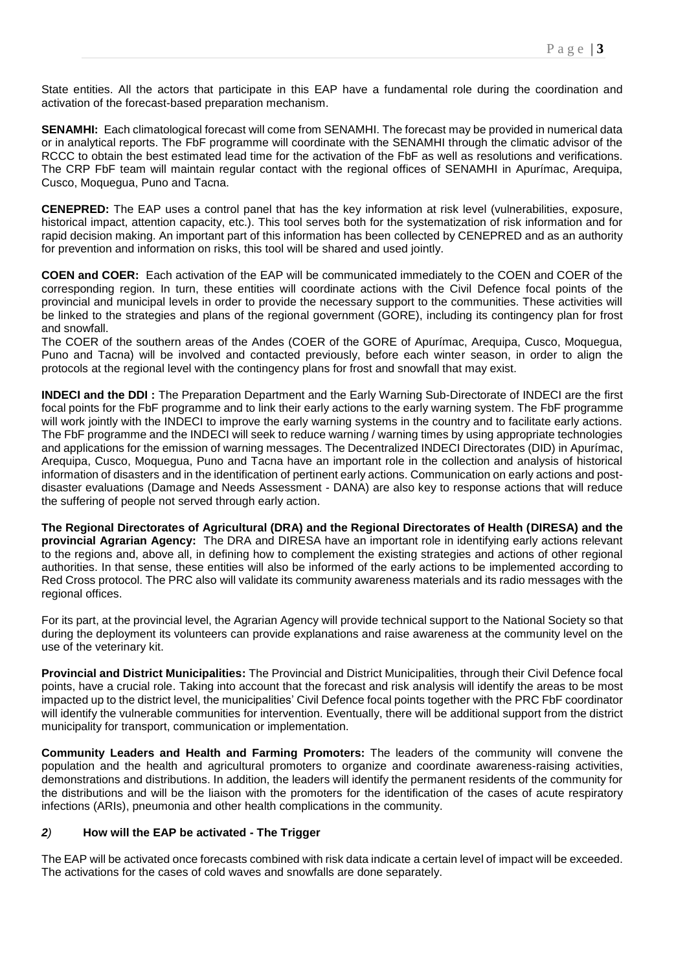State entities. All the actors that participate in this EAP have a fundamental role during the coordination and activation of the forecast-based preparation mechanism.

**SENAMHI:** Each climatological forecast will come from SENAMHI. The forecast may be provided in numerical data or in analytical reports. The FbF programme will coordinate with the SENAMHI through the climatic advisor of the RCCC to obtain the best estimated lead time for the activation of the FbF as well as resolutions and verifications. The CRP FbF team will maintain regular contact with the regional offices of SENAMHI in Apurímac, Arequipa, Cusco, Moquegua, Puno and Tacna.

**CENEPRED:** The EAP uses a control panel that has the key information at risk level (vulnerabilities, exposure, historical impact, attention capacity, etc.). This tool serves both for the systematization of risk information and for rapid decision making. An important part of this information has been collected by CENEPRED and as an authority for prevention and information on risks, this tool will be shared and used jointly.

**COEN and COER:** Each activation of the EAP will be communicated immediately to the COEN and COER of the corresponding region. In turn, these entities will coordinate actions with the Civil Defence focal points of the provincial and municipal levels in order to provide the necessary support to the communities. These activities will be linked to the strategies and plans of the regional government (GORE), including its contingency plan for frost and snowfall.

The COER of the southern areas of the Andes (COER of the GORE of Apurímac, Arequipa, Cusco, Moquegua, Puno and Tacna) will be involved and contacted previously, before each winter season, in order to align the protocols at the regional level with the contingency plans for frost and snowfall that may exist.

**INDECI and the DDI :** The Preparation Department and the Early Warning Sub-Directorate of INDECI are the first focal points for the FbF programme and to link their early actions to the early warning system. The FbF programme will work jointly with the INDECI to improve the early warning systems in the country and to facilitate early actions. The FbF programme and the INDECI will seek to reduce warning / warning times by using appropriate technologies and applications for the emission of warning messages. The Decentralized INDECI Directorates (DID) in Apurímac, Arequipa, Cusco, Moquegua, Puno and Tacna have an important role in the collection and analysis of historical information of disasters and in the identification of pertinent early actions. Communication on early actions and postdisaster evaluations (Damage and Needs Assessment - DANA) are also key to response actions that will reduce the suffering of people not served through early action.

**The Regional Directorates of Agricultural (DRA) and the Regional Directorates of Health (DIRESA) and the provincial Agrarian Agency:** The DRA and DIRESA have an important role in identifying early actions relevant to the regions and, above all, in defining how to complement the existing strategies and actions of other regional authorities. In that sense, these entities will also be informed of the early actions to be implemented according to Red Cross protocol. The PRC also will validate its community awareness materials and its radio messages with the regional offices.

For its part, at the provincial level, the Agrarian Agency will provide technical support to the National Society so that during the deployment its volunteers can provide explanations and raise awareness at the community level on the use of the veterinary kit.

**Provincial and District Municipalities:** The Provincial and District Municipalities, through their Civil Defence focal points, have a crucial role. Taking into account that the forecast and risk analysis will identify the areas to be most impacted up to the district level, the municipalities' Civil Defence focal points together with the PRC FbF coordinator will identify the vulnerable communities for intervention. Eventually, there will be additional support from the district municipality for transport, communication or implementation.

**Community Leaders and Health and Farming Promoters:** The leaders of the community will convene the population and the health and agricultural promoters to organize and coordinate awareness-raising activities, demonstrations and distributions. In addition, the leaders will identify the permanent residents of the community for the distributions and will be the liaison with the promoters for the identification of the cases of acute respiratory infections (ARIs), pneumonia and other health complications in the community.

## *2)* **How will the EAP be activated - The Trigger**

The EAP will be activated once forecasts combined with risk data indicate a certain level of impact will be exceeded. The activations for the cases of cold waves and snowfalls are done separately.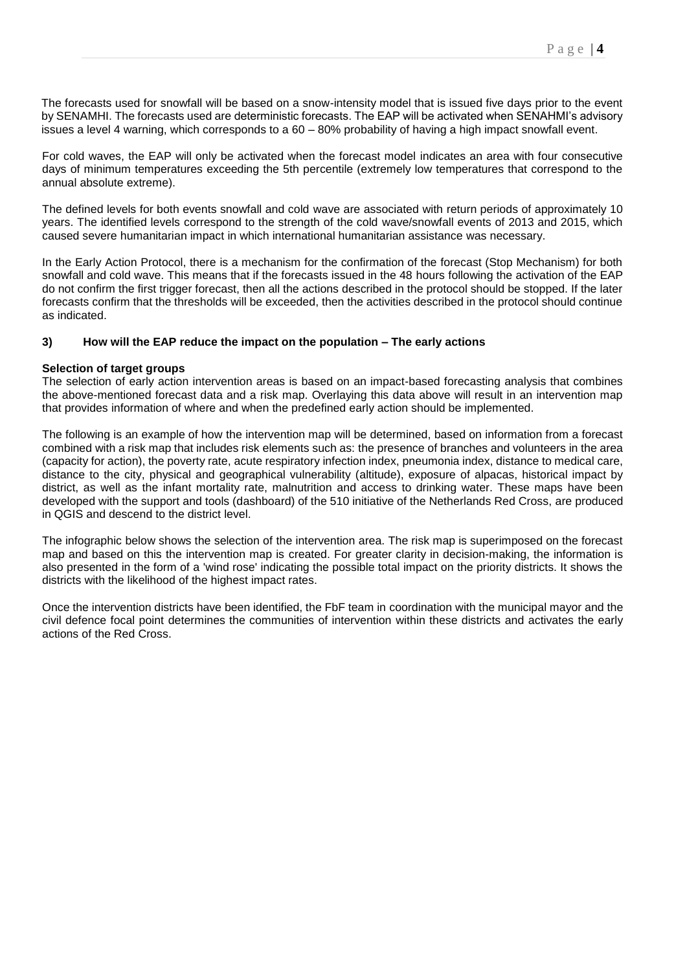The forecasts used for snowfall will be based on a snow-intensity model that is issued five days prior to the event by SENAMHI. The forecasts used are deterministic forecasts. The EAP will be activated when SENAHMI's advisory issues a level 4 warning, which corresponds to a 60 – 80% probability of having a high impact snowfall event.

For cold waves, the EAP will only be activated when the forecast model indicates an area with four consecutive days of minimum temperatures exceeding the 5th percentile (extremely low temperatures that correspond to the annual absolute extreme).

The defined levels for both events snowfall and cold wave are associated with return periods of approximately 10 years. The identified levels correspond to the strength of the cold wave/snowfall events of 2013 and 2015, which caused severe humanitarian impact in which international humanitarian assistance was necessary.

In the Early Action Protocol, there is a mechanism for the confirmation of the forecast (Stop Mechanism) for both snowfall and cold wave. This means that if the forecasts issued in the 48 hours following the activation of the EAP do not confirm the first trigger forecast, then all the actions described in the protocol should be stopped. If the later forecasts confirm that the thresholds will be exceeded, then the activities described in the protocol should continue as indicated.

#### **3) How will the EAP reduce the impact on the population – The early actions**

#### **Selection of target groups**

The selection of early action intervention areas is based on an impact-based forecasting analysis that combines the above-mentioned forecast data and a risk map. Overlaying this data above will result in an intervention map that provides information of where and when the predefined early action should be implemented.

The following is an example of how the intervention map will be determined, based on information from a forecast combined with a risk map that includes risk elements such as: the presence of branches and volunteers in the area (capacity for action), the poverty rate, acute respiratory infection index, pneumonia index, distance to medical care, distance to the city, physical and geographical vulnerability (altitude), exposure of alpacas, historical impact by district, as well as the infant mortality rate, malnutrition and access to drinking water. These maps have been developed with the support and tools (dashboard) of the 510 initiative of the Netherlands Red Cross, are produced in QGIS and descend to the district level.

The infographic below shows the selection of the intervention area. The risk map is superimposed on the forecast map and based on this the intervention map is created. For greater clarity in decision-making, the information is also presented in the form of a 'wind rose' indicating the possible total impact on the priority districts. It shows the districts with the likelihood of the highest impact rates.

Once the intervention districts have been identified, the FbF team in coordination with the municipal mayor and the civil defence focal point determines the communities of intervention within these districts and activates the early actions of the Red Cross.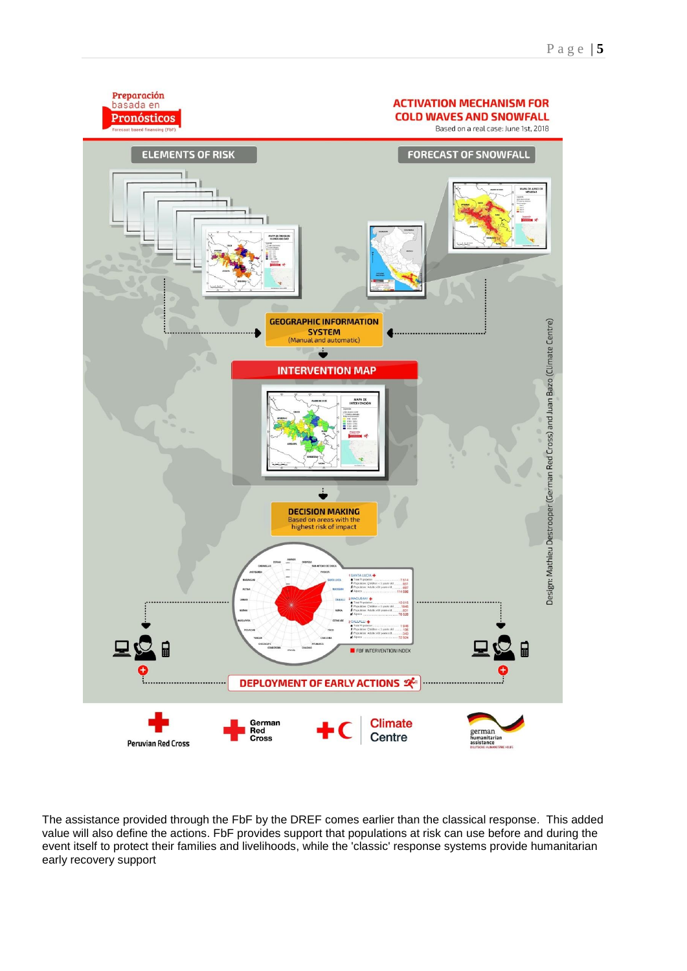

The assistance provided through the FbF by the DREF comes earlier than the classical response. This added value will also define the actions. FbF provides support that populations at risk can use before and during the event itself to protect their families and livelihoods, while the 'classic' response systems provide humanitarian early recovery support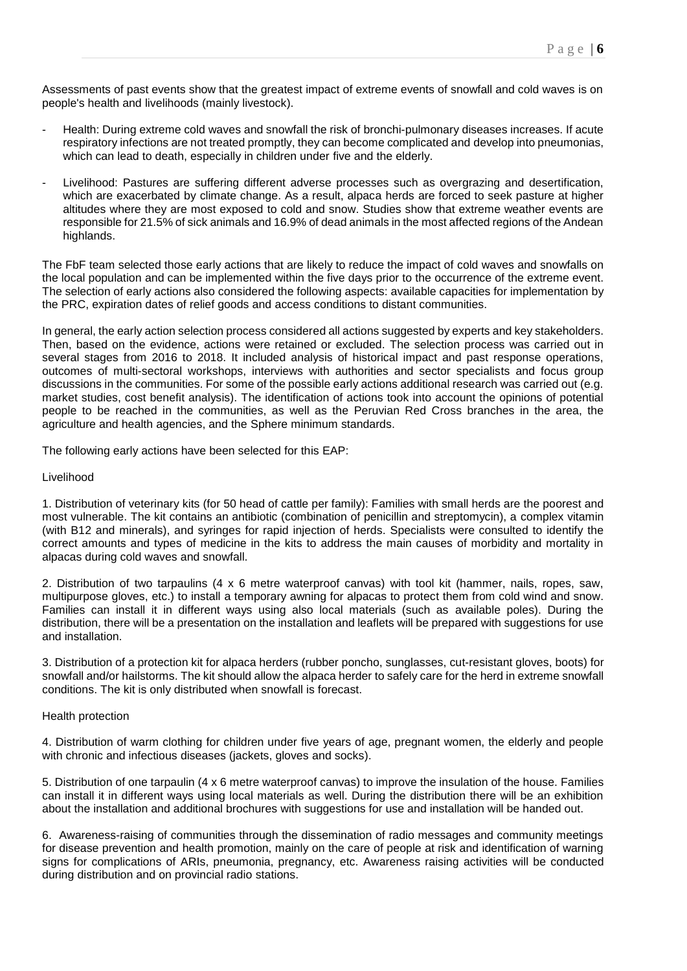Assessments of past events show that the greatest impact of extreme events of snowfall and cold waves is on people's health and livelihoods (mainly livestock).

- Health: During extreme cold waves and snowfall the risk of bronchi-pulmonary diseases increases. If acute respiratory infections are not treated promptly, they can become complicated and develop into pneumonias, which can lead to death, especially in children under five and the elderly.
- Livelihood: Pastures are suffering different adverse processes such as overgrazing and desertification, which are exacerbated by climate change. As a result, alpaca herds are forced to seek pasture at higher altitudes where they are most exposed to cold and snow. Studies show that extreme weather events are responsible for 21.5% of sick animals and 16.9% of dead animals in the most affected regions of the Andean highlands.

The FbF team selected those early actions that are likely to reduce the impact of cold waves and snowfalls on the local population and can be implemented within the five days prior to the occurrence of the extreme event. The selection of early actions also considered the following aspects: available capacities for implementation by the PRC, expiration dates of relief goods and access conditions to distant communities.

In general, the early action selection process considered all actions suggested by experts and key stakeholders. Then, based on the evidence, actions were retained or excluded. The selection process was carried out in several stages from 2016 to 2018. It included analysis of historical impact and past response operations, outcomes of multi-sectoral workshops, interviews with authorities and sector specialists and focus group discussions in the communities. For some of the possible early actions additional research was carried out (e.g. market studies, cost benefit analysis). The identification of actions took into account the opinions of potential people to be reached in the communities, as well as the Peruvian Red Cross branches in the area, the agriculture and health agencies, and the Sphere minimum standards.

The following early actions have been selected for this EAP:

#### Livelihood

1. Distribution of veterinary kits (for 50 head of cattle per family): Families with small herds are the poorest and most vulnerable. The kit contains an antibiotic (combination of penicillin and streptomycin), a complex vitamin (with B12 and minerals), and syringes for rapid injection of herds. Specialists were consulted to identify the correct amounts and types of medicine in the kits to address the main causes of morbidity and mortality in alpacas during cold waves and snowfall.

2. Distribution of two tarpaulins (4 x 6 metre waterproof canvas) with tool kit (hammer, nails, ropes, saw, multipurpose gloves, etc.) to install a temporary awning for alpacas to protect them from cold wind and snow. Families can install it in different ways using also local materials (such as available poles). During the distribution, there will be a presentation on the installation and leaflets will be prepared with suggestions for use and installation.

3. Distribution of a protection kit for alpaca herders (rubber poncho, sunglasses, cut-resistant gloves, boots) for snowfall and/or hailstorms. The kit should allow the alpaca herder to safely care for the herd in extreme snowfall conditions. The kit is only distributed when snowfall is forecast.

#### Health protection

4. Distribution of warm clothing for children under five years of age, pregnant women, the elderly and people with chronic and infectious diseases (jackets, gloves and socks).

5. Distribution of one tarpaulin (4 x 6 metre waterproof canvas) to improve the insulation of the house. Families can install it in different ways using local materials as well. During the distribution there will be an exhibition about the installation and additional brochures with suggestions for use and installation will be handed out.

6. Awareness-raising of communities through the dissemination of radio messages and community meetings for disease prevention and health promotion, mainly on the care of people at risk and identification of warning signs for complications of ARIs, pneumonia, pregnancy, etc. Awareness raising activities will be conducted during distribution and on provincial radio stations.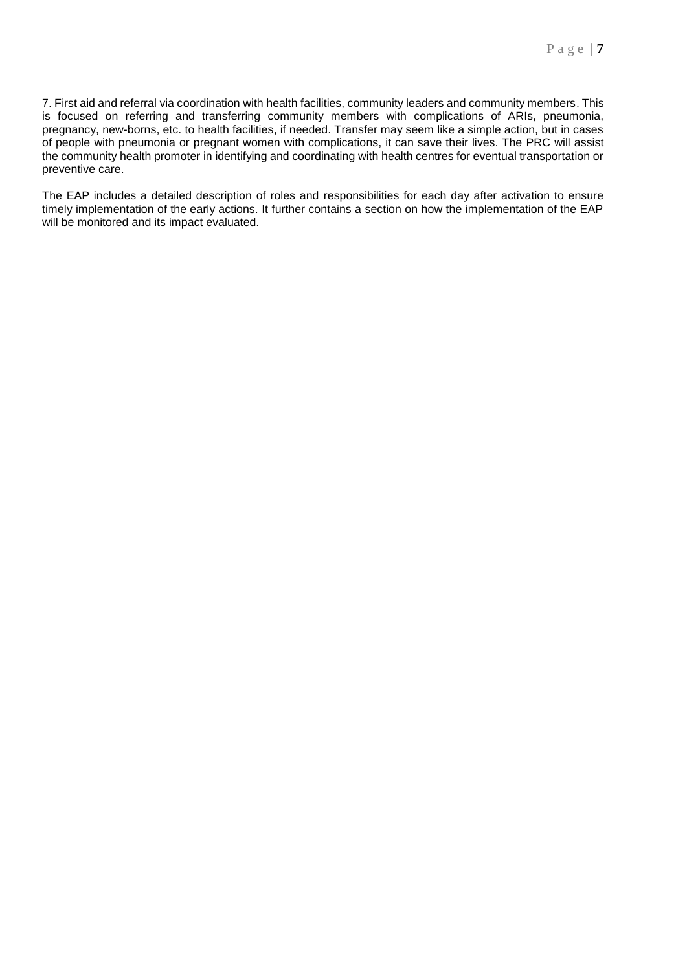7. First aid and referral via coordination with health facilities, community leaders and community members. This is focused on referring and transferring community members with complications of ARIs, pneumonia, pregnancy, new-borns, etc. to health facilities, if needed. Transfer may seem like a simple action, but in cases of people with pneumonia or pregnant women with complications, it can save their lives. The PRC will assist the community health promoter in identifying and coordinating with health centres for eventual transportation or preventive care.

The EAP includes a detailed description of roles and responsibilities for each day after activation to ensure timely implementation of the early actions. It further contains a section on how the implementation of the EAP will be monitored and its impact evaluated.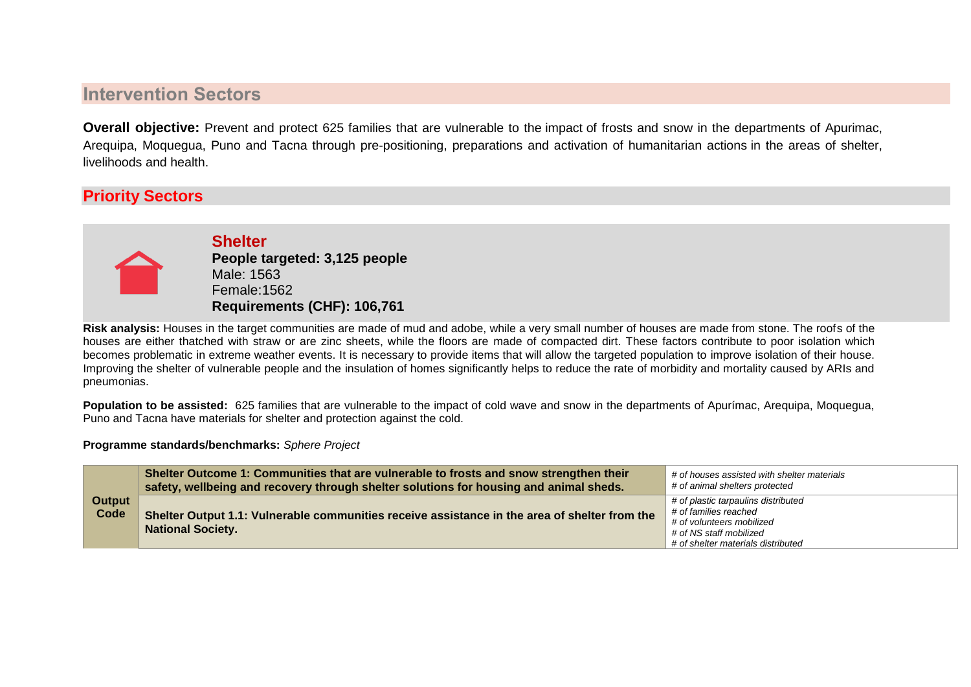# <span id="page-7-0"></span>**Intervention Sectors**

**Overall objective:** Prevent and protect 625 families that are vulnerable to the impact of frosts and snow in the departments of Apurimac, Arequipa, Moquegua, Puno and Tacna through pre-positioning, preparations and activation of humanitarian actions in the areas of shelter, livelihoods and health.

# **Priority Sectors**



**Shelter People targeted: 3,125 people** Male: 1563 Female:1562 **Requirements (CHF): 106,761**

**Risk analysis:** Houses in the target communities are made of mud and adobe, while a very small number of houses are made from stone. The roofs of the houses are either thatched with straw or are zinc sheets, while the floors are made of compacted dirt. These factors contribute to poor isolation which becomes problematic in extreme weather events. It is necessary to provide items that will allow the targeted population to improve isolation of their house. Improving the shelter of vulnerable people and the insulation of homes significantly helps to reduce the rate of morbidity and mortality caused by ARIs and pneumonias.

**Population to be assisted:** 625 families that are vulnerable to the impact of cold wave and snow in the departments of Apurímac, Arequipa, Moquegua, Puno and Tacna have materials for shelter and protection against the cold.

**Programme standards/benchmarks:** *Sphere Project*

| Output<br>Code | Shelter Outcome 1: Communities that are vulnerable to frosts and snow strengthen their<br>safety, wellbeing and recovery through shelter solutions for housing and animal sheds. | # of houses assisted with shelter materials<br># of animal shelters protected                                                                              |  |
|----------------|----------------------------------------------------------------------------------------------------------------------------------------------------------------------------------|------------------------------------------------------------------------------------------------------------------------------------------------------------|--|
|                | Shelter Output 1.1: Vulnerable communities receive assistance in the area of shelter from the<br><b>National Society.</b>                                                        | # of plastic tarpaulins distributed<br># of families reached<br># of volunteers mobilized<br># of NS staff mobilized<br># of shelter materials distributed |  |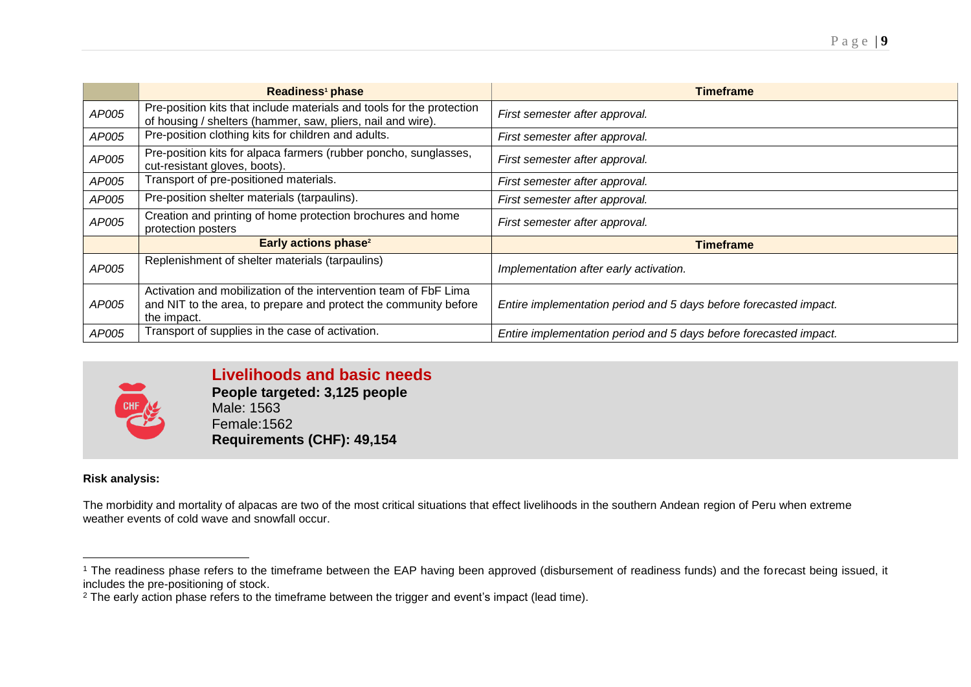|       | Readiness <sup>1</sup> phase                                                                                                                        | <b>Timeframe</b>                                                  |
|-------|-----------------------------------------------------------------------------------------------------------------------------------------------------|-------------------------------------------------------------------|
| AP005 | Pre-position kits that include materials and tools for the protection<br>of housing / shelters (hammer, saw, pliers, nail and wire).                | First semester after approval.                                    |
| AP005 | Pre-position clothing kits for children and adults.                                                                                                 | First semester after approval.                                    |
| AP005 | Pre-position kits for alpaca farmers (rubber poncho, sunglasses,<br>cut-resistant gloves, boots).                                                   | First semester after approval.                                    |
| AP005 | Transport of pre-positioned materials.                                                                                                              | First semester after approval.                                    |
| AP005 | Pre-position shelter materials (tarpaulins).                                                                                                        | First semester after approval.                                    |
| AP005 | Creation and printing of home protection brochures and home<br>protection posters                                                                   | First semester after approval.                                    |
|       | Early actions phase <sup>2</sup>                                                                                                                    | <b>Timeframe</b>                                                  |
| AP005 | Replenishment of shelter materials (tarpaulins)                                                                                                     | Implementation after early activation.                            |
| AP005 | Activation and mobilization of the intervention team of FbF Lima<br>and NIT to the area, to prepare and protect the community before<br>the impact. | Entire implementation period and 5 days before forecasted impact. |
| AP005 | Transport of supplies in the case of activation.                                                                                                    | Entire implementation period and 5 days before forecasted impact. |



<span id="page-8-0"></span>**Livelihoods and basic needs People targeted: 3,125 people** Male: 1563 Female:1562 **Requirements (CHF): 49,154**

# **Risk analysis:**

The morbidity and mortality of alpacas are two of the most critical situations that effect livelihoods in the southern Andean region of Peru when extreme weather events of cold wave and snowfall occur.

 $\overline{a}$ <sup>1</sup> The readiness phase refers to the timeframe between the EAP having been approved (disbursement of readiness funds) and the forecast being issued, it includes the pre-positioning of stock.

<sup>&</sup>lt;sup>2</sup> The early action phase refers to the timeframe between the trigger and event's impact (lead time).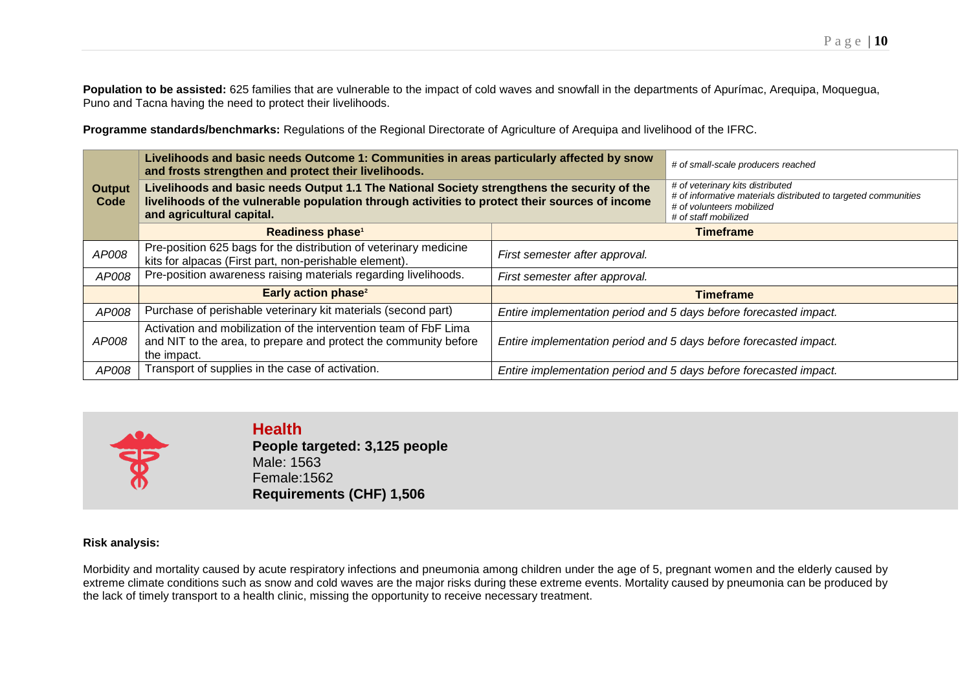Population to be assisted: 625 families that are vulnerable to the impact of cold waves and snowfall in the departments of Apurímac, Arequipa, Moquegua, Puno and Tacna having the need to protect their livelihoods.

**Programme standards/benchmarks:** Regulations of the Regional Directorate of Agriculture of Arequipa and livelihood of the IFRC.

|                       | Livelihoods and basic needs Outcome 1: Communities in areas particularly affected by snow<br>and frosts strengthen and protect their livelihoods.                                                                          |                                                                   | # of small-scale producers reached                                                                                                                      |  |
|-----------------------|----------------------------------------------------------------------------------------------------------------------------------------------------------------------------------------------------------------------------|-------------------------------------------------------------------|---------------------------------------------------------------------------------------------------------------------------------------------------------|--|
| <b>Output</b><br>Code | Livelihoods and basic needs Output 1.1 The National Society strengthens the security of the<br>livelihoods of the vulnerable population through activities to protect their sources of income<br>and agricultural capital. |                                                                   | # of veterinary kits distributed<br># of informative materials distributed to targeted communities<br># of volunteers mobilized<br># of staff mobilized |  |
|                       | Readiness phase <sup>1</sup>                                                                                                                                                                                               | <b>Timeframe</b>                                                  |                                                                                                                                                         |  |
| AP008                 | Pre-position 625 bags for the distribution of veterinary medicine<br>kits for alpacas (First part, non-perishable element).                                                                                                | First semester after approval.                                    |                                                                                                                                                         |  |
| AP008                 | Pre-position awareness raising materials regarding livelihoods.                                                                                                                                                            | First semester after approval.                                    |                                                                                                                                                         |  |
|                       | <b>Early action phase<sup>2</sup></b>                                                                                                                                                                                      | <b>Timeframe</b>                                                  |                                                                                                                                                         |  |
| AP008                 | Purchase of perishable veterinary kit materials (second part)                                                                                                                                                              | Entire implementation period and 5 days before forecasted impact. |                                                                                                                                                         |  |
| AP008                 | Activation and mobilization of the intervention team of FbF Lima<br>and NIT to the area, to prepare and protect the community before<br>the impact.                                                                        | Entire implementation period and 5 days before forecasted impact. |                                                                                                                                                         |  |
| AP008                 | Transport of supplies in the case of activation.                                                                                                                                                                           | Entire implementation period and 5 days before forecasted impact. |                                                                                                                                                         |  |



**Health People targeted: 3,125 people** Male: 1563 Female:1562 **Requirements (CHF) 1,506**

### **Risk analysis:**

Morbidity and mortality caused by acute respiratory infections and pneumonia among children under the age of 5, pregnant women and the elderly caused by extreme climate conditions such as snow and cold waves are the major risks during these extreme events. Mortality caused by pneumonia can be produced by the lack of timely transport to a health clinic, missing the opportunity to receive necessary treatment.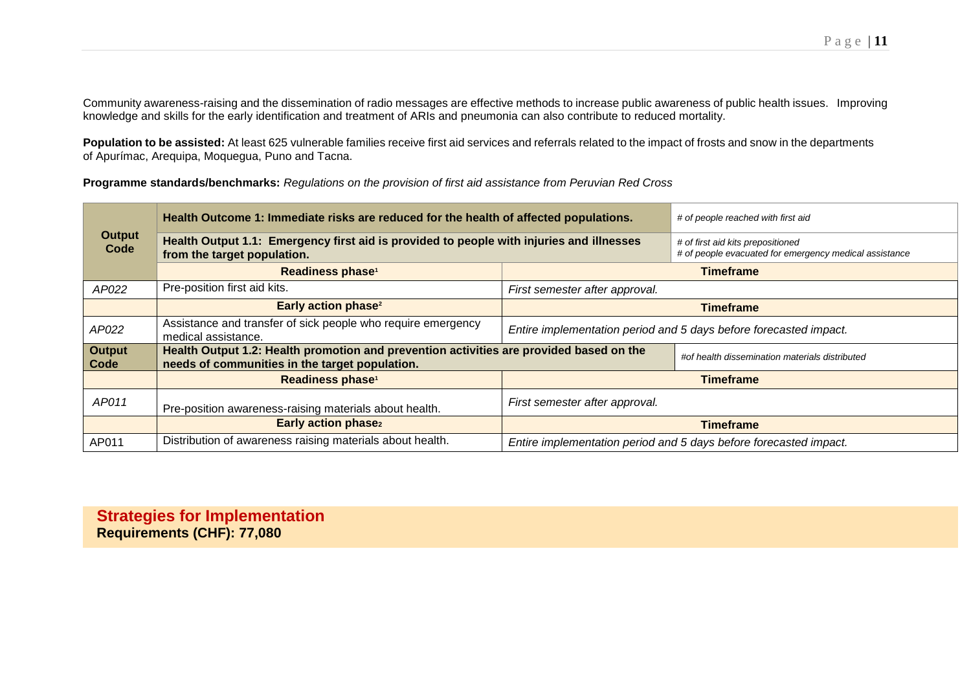Community awareness-raising and the dissemination of radio messages are effective methods to increase public awareness of public health issues. Improving knowledge and skills for the early identification and treatment of ARIs and pneumonia can also contribute to reduced mortality.

**Population to be assisted:** At least 625 vulnerable families receive first aid services and referrals related to the impact of frosts and snow in the departments of Apurímac, Arequipa, Moquegua, Puno and Tacna.

**Programme standards/benchmarks:** *Regulations on the provision of first aid assistance from Peruvian Red Cross*

|                       | Health Outcome 1: Immediate risks are reduced for the health of affected populations.                                                     |                                                                   | # of people reached with first aid                                                          |  |
|-----------------------|-------------------------------------------------------------------------------------------------------------------------------------------|-------------------------------------------------------------------|---------------------------------------------------------------------------------------------|--|
| <b>Output</b><br>Code | Health Output 1.1: Emergency first aid is provided to people with injuries and illnesses<br>from the target population.                   |                                                                   | # of first aid kits prepositioned<br># of people evacuated for emergency medical assistance |  |
|                       | Readiness phase <sup>1</sup>                                                                                                              |                                                                   | <b>Timeframe</b>                                                                            |  |
| AP022                 | Pre-position first aid kits.                                                                                                              | First semester after approval.                                    |                                                                                             |  |
|                       | Early action phase <sup>2</sup>                                                                                                           | <b>Timeframe</b>                                                  |                                                                                             |  |
| AP022                 | Assistance and transfer of sick people who require emergency<br>medical assistance.                                                       | Entire implementation period and 5 days before forecasted impact. |                                                                                             |  |
| <b>Output</b><br>Code | Health Output 1.2: Health promotion and prevention activities are provided based on the<br>needs of communities in the target population. |                                                                   | #of health dissemination materials distributed                                              |  |
|                       | Readiness phase <sup>1</sup>                                                                                                              | <b>Timeframe</b>                                                  |                                                                                             |  |
| AP011                 | Pre-position awareness-raising materials about health.                                                                                    | First semester after approval.                                    |                                                                                             |  |
|                       | <b>Early action phase2</b>                                                                                                                | <b>Timeframe</b>                                                  |                                                                                             |  |
| AP011                 | Distribution of awareness raising materials about health.                                                                                 | Entire implementation period and 5 days before forecasted impact. |                                                                                             |  |

**Strategies for Implementation Requirements (CHF): 77,080**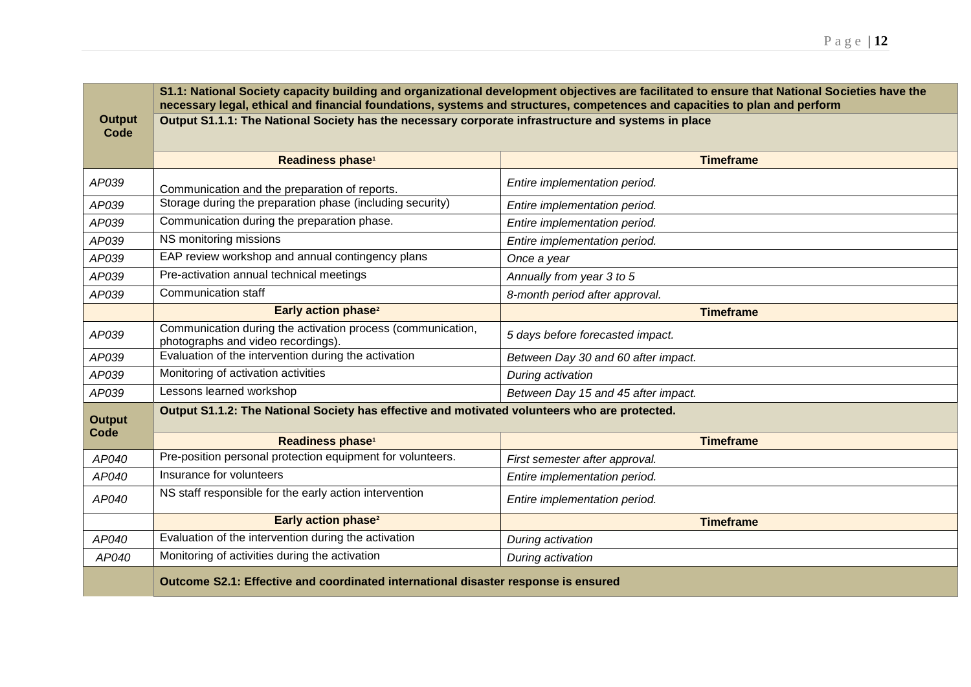|                              | S1.1: National Society capacity building and organizational development objectives are facilitated to ensure that National Societies have the<br>necessary legal, ethical and financial foundations, systems and structures, competences and capacities to plan and perform |                                     |  |
|------------------------------|-----------------------------------------------------------------------------------------------------------------------------------------------------------------------------------------------------------------------------------------------------------------------------|-------------------------------------|--|
| <b>Output</b><br>Code        | Output S1.1.1: The National Society has the necessary corporate infrastructure and systems in place                                                                                                                                                                         |                                     |  |
|                              | Readiness phase <sup>1</sup>                                                                                                                                                                                                                                                | <b>Timeframe</b>                    |  |
| AP039                        | Communication and the preparation of reports.                                                                                                                                                                                                                               | Entire implementation period.       |  |
| AP039                        | Storage during the preparation phase (including security)                                                                                                                                                                                                                   | Entire implementation period.       |  |
| AP039                        | Communication during the preparation phase.                                                                                                                                                                                                                                 | Entire implementation period.       |  |
| AP039                        | NS monitoring missions                                                                                                                                                                                                                                                      | Entire implementation period.       |  |
| AP039                        | EAP review workshop and annual contingency plans                                                                                                                                                                                                                            | Once a year                         |  |
| AP039                        | Pre-activation annual technical meetings                                                                                                                                                                                                                                    | Annually from year 3 to 5           |  |
| AP039                        | Communication staff                                                                                                                                                                                                                                                         | 8-month period after approval.      |  |
|                              | Early action phase <sup>2</sup>                                                                                                                                                                                                                                             | <b>Timeframe</b>                    |  |
| AP039                        | Communication during the activation process (communication,<br>photographs and video recordings).                                                                                                                                                                           | 5 days before forecasted impact.    |  |
| AP039                        | Evaluation of the intervention during the activation                                                                                                                                                                                                                        | Between Day 30 and 60 after impact. |  |
| AP039                        | Monitoring of activation activities                                                                                                                                                                                                                                         | During activation                   |  |
| AP039                        | Lessons learned workshop                                                                                                                                                                                                                                                    | Between Day 15 and 45 after impact. |  |
| <b>Output</b><br><b>Code</b> | Output S1.1.2: The National Society has effective and motivated volunteers who are protected.                                                                                                                                                                               |                                     |  |
|                              | Readiness phase <sup>1</sup>                                                                                                                                                                                                                                                | <b>Timeframe</b>                    |  |
| AP040                        | Pre-position personal protection equipment for volunteers.                                                                                                                                                                                                                  | First semester after approval.      |  |
| AP040                        | Insurance for volunteers                                                                                                                                                                                                                                                    | Entire implementation period.       |  |
| AP040                        | NS staff responsible for the early action intervention                                                                                                                                                                                                                      | Entire implementation period.       |  |
|                              | Early action phase <sup>2</sup>                                                                                                                                                                                                                                             | <b>Timeframe</b>                    |  |
| AP040                        | Evaluation of the intervention during the activation                                                                                                                                                                                                                        | During activation                   |  |
| AP040                        | Monitoring of activities during the activation                                                                                                                                                                                                                              | During activation                   |  |
|                              | Outcome S2.1: Effective and coordinated international disaster response is ensured                                                                                                                                                                                          |                                     |  |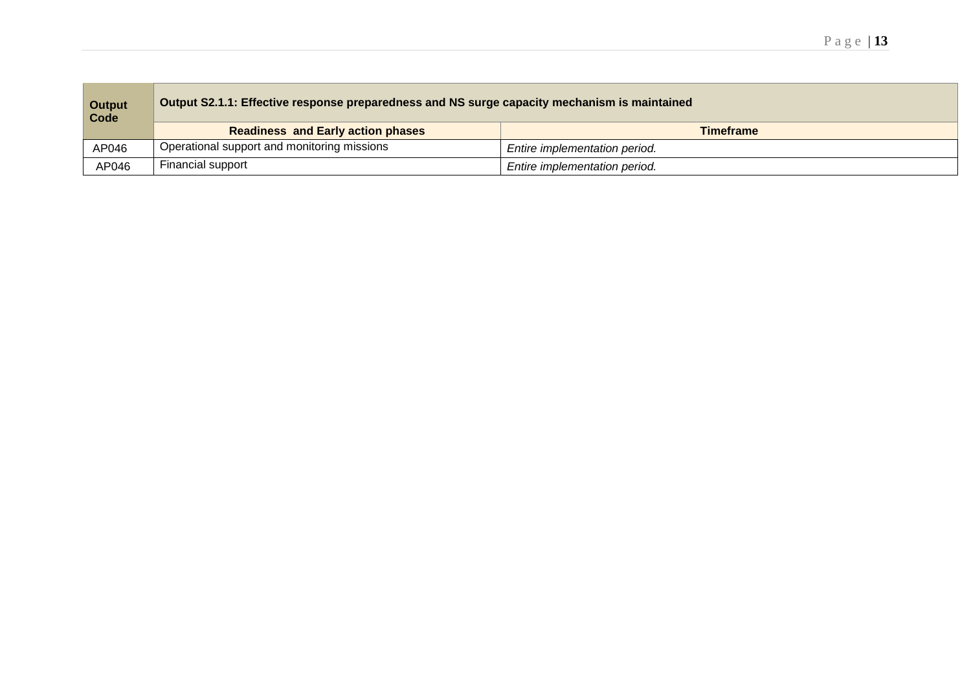| <b>Output</b><br>Code | Output S2.1.1: Effective response preparedness and NS surge capacity mechanism is maintained |                               |  |
|-----------------------|----------------------------------------------------------------------------------------------|-------------------------------|--|
|                       | <b>Readiness and Early action phases</b>                                                     | <b>Timeframe</b>              |  |
| AP046                 | Operational support and monitoring missions                                                  | Entire implementation period. |  |
| AP046                 | Financial support                                                                            | Entire implementation period. |  |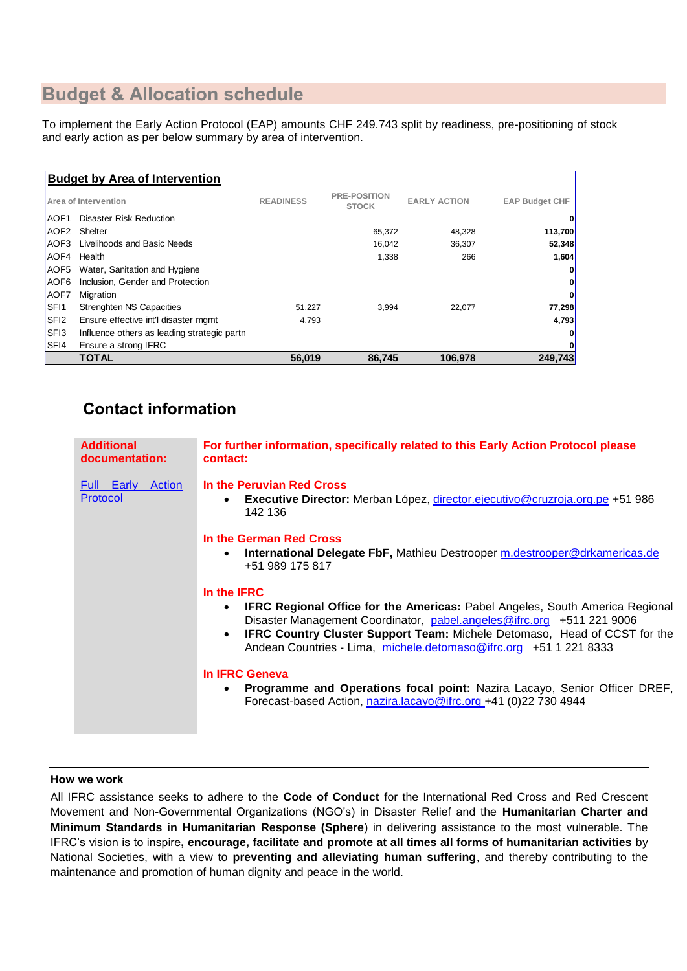# **Budget & Allocation schedule**

To implement the Early Action Protocol (EAP) amounts CHF 249.743 split by readiness, pre-positioning of stock and early action as per below summary by area of intervention.

# **Budget by Area of Intervention**

|                  | Area of Intervention                        | <b>READINESS</b> | <b>PRE-POSITION</b><br><b>STOCK</b> | <b>EARLY ACTION</b> | <b>EAP Budget CHF</b> |
|------------------|---------------------------------------------|------------------|-------------------------------------|---------------------|-----------------------|
| <b>AOF1</b>      | Disaster Risk Reduction                     |                  |                                     |                     | 0                     |
| AOF <sub>2</sub> | Shelter                                     |                  | 65,372                              | 48,328              | 113,700               |
| AOF3             | Livelihoods and Basic Needs                 |                  | 16,042                              | 36,307              | 52,348                |
| AOF4             | Health                                      |                  | 1,338                               | 266                 | 1,604                 |
| AOF5             | Water, Sanitation and Hygiene               |                  |                                     |                     | 0                     |
| AOF <sub>6</sub> | Inclusion. Gender and Protection            |                  |                                     |                     | $\mathbf{0}$          |
| AOF7             | Migration                                   |                  |                                     |                     | 0                     |
| SF <sub>11</sub> | <b>Strenghten NS Capacities</b>             | 51,227           | 3,994                               | 22,077              | 77,298                |
| SFI <sub>2</sub> | Ensure effective int'l disaster momt        | 4.793            |                                     |                     | 4,793                 |
| SF <sub>13</sub> | Influence others as leading strategic partn |                  |                                     |                     | 0                     |
| SF <sub>I4</sub> | Ensure a strong IFRC                        |                  |                                     |                     | 0                     |
|                  | TOTAL                                       | 56.019           | 86.745                              | 106.978             | 249,743               |

# **Contact information**

| <b>Additional</b><br>documentation:  | For further information, specifically related to this Early Action Protocol please<br>contact:                                                                                                                                                                                                                                                                        |
|--------------------------------------|-----------------------------------------------------------------------------------------------------------------------------------------------------------------------------------------------------------------------------------------------------------------------------------------------------------------------------------------------------------------------|
| <b>Full Early Action</b><br>Protocol | In the Peruvian Red Cross<br><b>Executive Director:</b> Merban López, director.ejecutivo@cruzroja.org.pe +51 986<br>$\bullet$<br>142 136                                                                                                                                                                                                                              |
|                                      | In the German Red Cross<br><b>International Delegate FbF, Mathieu Destrooper m.destrooper@drkamericas.de</b><br>$\bullet$<br>+51 989 175 817                                                                                                                                                                                                                          |
|                                      | In the <b>IFRC</b><br><b>IFRC Regional Office for the Americas: Pabel Angeles, South America Regional</b><br>$\bullet$<br>Disaster Management Coordinator, pabel.angeles@ifrc.org +511 221 9006<br><b>IFRC Country Cluster Support Team: Michele Detomaso, Head of CCST for the</b><br>$\bullet$<br>Andean Countries - Lima, michele.detomaso@ifrc.org +51 1 221 8333 |
|                                      | In IFRC Geneva<br>Programme and Operations focal point: Nazira Lacayo, Senior Officer DREF,<br>$\bullet$<br>Forecast-based Action, nazira.lacayo@ifrc.org +41 (0)22 730 4944                                                                                                                                                                                          |

## **How we work**

All IFRC assistance seeks to adhere to the **Code of Conduct** for the International Red Cross and Red Crescent Movement and Non-Governmental Organizations (NGO's) in Disaster Relief and the **Humanitarian Charter and Minimum Standards in Humanitarian Response (Sphere**) in delivering assistance to the most vulnerable. The IFRC's vision is to inspire**, encourage, facilitate and promote at all times all forms of humanitarian activities** by National Societies, with a view to **preventing and alleviating human suffering**, and thereby contributing to the maintenance and promotion of human dignity and peace in the world.